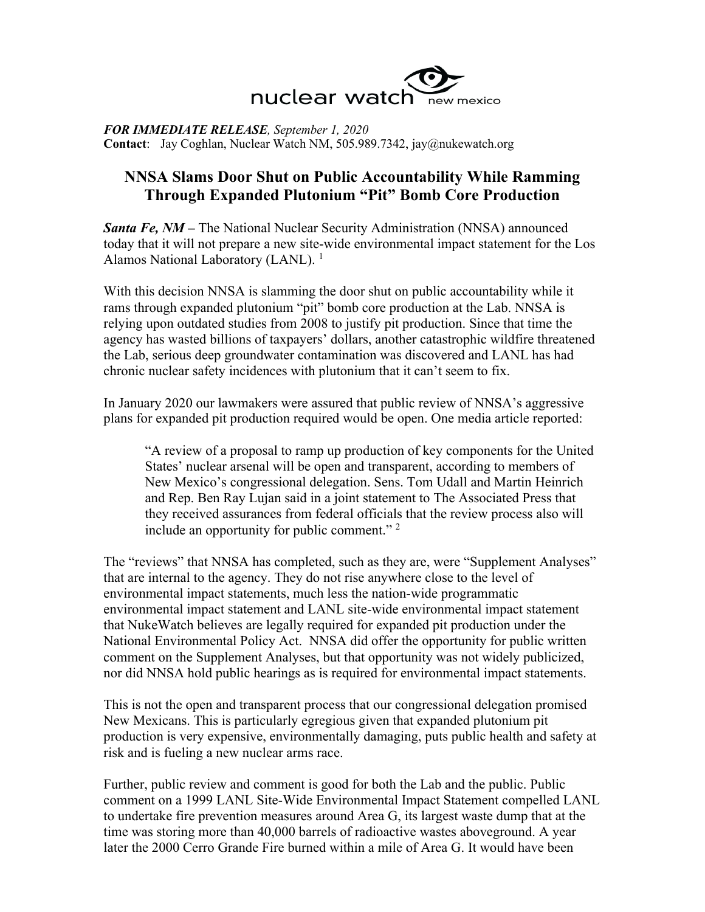

*FOR IMMEDIATE RELEASE, September 1, 2020* **Contact**: Jay Coghlan, Nuclear Watch NM, 505.989.7342, jay@nukewatch.org

## **NNSA Slams Door Shut on Public Accountability While Ramming Through Expanded Plutonium "Pit" Bomb Core Production**

*Santa Fe, NM –* The National Nuclear Security Administration (NNSA) announced today that it will not prepare a new site-wide environmental impact statement for the Los Alamos National Laboratory (LANL).<sup>1</sup>

With this decision NNSA is slamming the door shut on public accountability while it rams through expanded plutonium "pit" bomb core production at the Lab. NNSA is relying upon outdated studies from 2008 to justify pit production. Since that time the agency has wasted billions of taxpayers' dollars, another catastrophic wildfire threatened the Lab, serious deep groundwater contamination was discovered and LANL has had chronic nuclear safety incidences with plutonium that it can't seem to fix.

In January 2020 our lawmakers were assured that public review of NNSA's aggressive plans for expanded pit production required would be open. One media article reported:

"A review of a proposal to ramp up production of key components for the United States' nuclear arsenal will be open and transparent, according to members of New Mexico's congressional delegation. Sens. Tom Udall and Martin Heinrich and Rep. Ben Ray Lujan said in a joint statement to The Associated Press that they received assurances from federal officials that the review process also will include an opportunity for public comment."  $2^{\circ}$ 

The "reviews" that NNSA has completed, such as they are, were "Supplement Analyses" that are internal to the agency. They do not rise anywhere close to the level of environmental impact statements, much less the nation-wide programmatic environmental impact statement and LANL site-wide environmental impact statement that NukeWatch believes are legally required for expanded pit production under the National Environmental Policy Act. NNSA did offer the opportunity for public written comment on the Supplement Analyses, but that opportunity was not widely publicized, nor did NNSA hold public hearings as is required for environmental impact statements.

This is not the open and transparent process that our congressional delegation promised New Mexicans. This is particularly egregious given that expanded plutonium pit production is very expensive, environmentally damaging, puts public health and safety at risk and is fueling a new nuclear arms race.

Further, public review and comment is good for both the Lab and the public. Public comment on a 1999 LANL Site-Wide Environmental Impact Statement compelled LANL to undertake fire prevention measures around Area G, its largest waste dump that at the time was storing more than 40,000 barrels of radioactive wastes aboveground. A year later the 2000 Cerro Grande Fire burned within a mile of Area G. It would have been